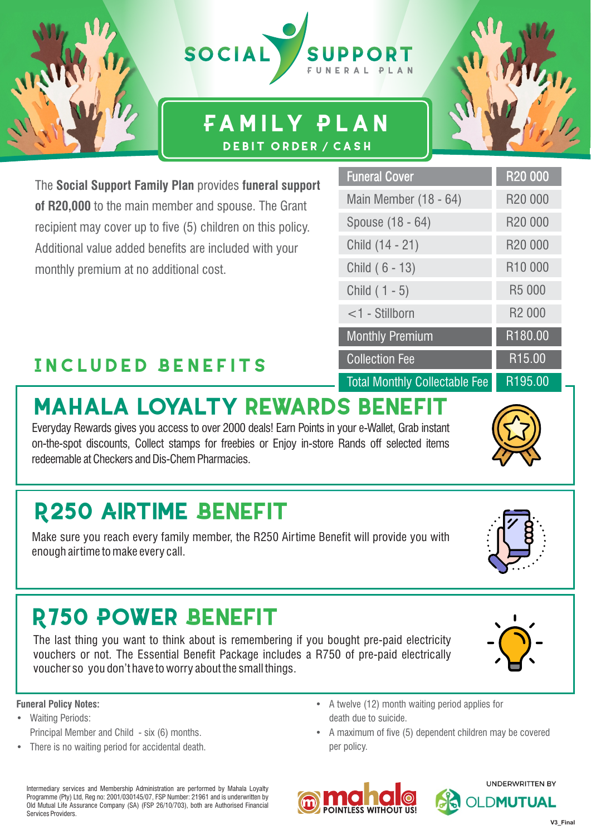

### **Family Plan Debit order / cash**

Funeral Cover

Spouse (18 - 64)

Child (14 - 21)

Child ( 6 - 13)

Child ( 1 - 5)

<1 - Stillborn

Collection Fee

Monthly Premium

Total Monthly Collectable Fee

Main Member (18 - 64)

The **Social Support Family Plan** provides **funeral support of R20,000** to the main member and spouse. The Grant recipient may cover up to five (5) children on this policy. Additional value added benefits are included with your monthly premium at no additional cost.

### **Included Benefits**

# **MAHALA LOYALTY REWARDS BENEFIT**

Everyday Rewards gives you access to over 2000 deals! Earn Points in your e-Wallet, Grab instant on-the-spot discounts, Collect stamps for freebies or Enjoy in-store Rands off selected items redeemable at Checkers and Dis-Chem Pharmacies.

## **R250 AIRTIME BENEFIT**

Make sure you reach every family member, the R250 Airtime Benefit will provide you with enough airtime to make every call.

# **R750 POWER BENEFIT**

The last thing you want to think about is remembering if you bought pre-paid electricity vouchers or not. The Essential Benefit Package includes a R750 of pre-paid electrically voucher so you don't have to worry about the small things.

#### **Funeral Policy Notes:**

- Waiting Periods: Principal Member and Child - six (6) months.
- There is no waiting period for accidental death.
- A twelve (12) month waiting period applies for death due to suicide.
- A maximum of five (5) dependent children may be covered per policy.

**OINTLESS WITHOUT US** 

**UNDERWRITTEN BY** 

**V3\_Final**





R20 000

R20 000

R20 000

R20 000

R10 000

R5 000

R2 000

R180.00

R15.00

R195.00





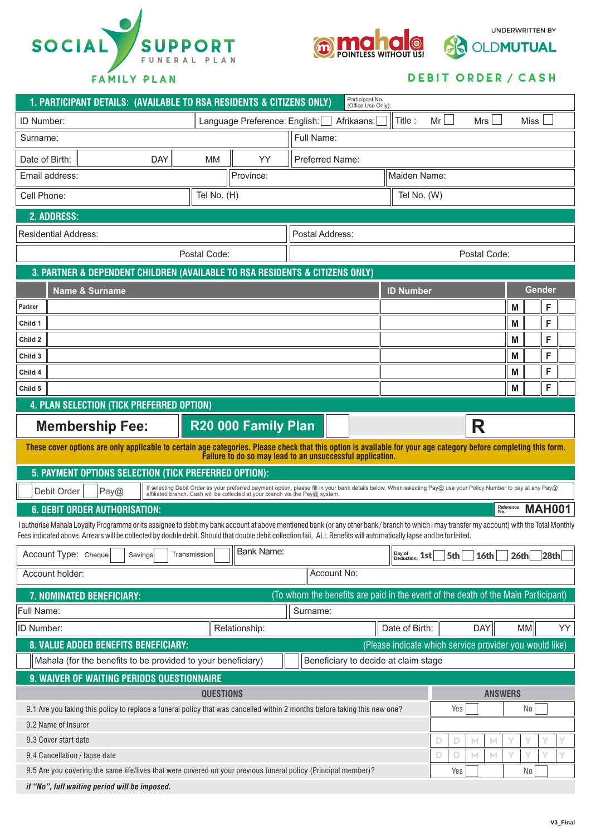



UNDERWRITTEN BY

### **Debit order / cash**

| Participant No.<br>1. PARTICIPANT DETAILS: (AVAILABLE TO RSA RESIDENTS & CITIZENS ONLY)<br>(Office Use Only):                                                                                                                                                                                                                                                    |                                                         |  |
|------------------------------------------------------------------------------------------------------------------------------------------------------------------------------------------------------------------------------------------------------------------------------------------------------------------------------------------------------------------|---------------------------------------------------------|--|
| Language Preference: English:<br>ID Number:                                                                                                                                                                                                                                                                                                                      | <b>Miss</b><br>Title:<br>Mr<br>Mrs<br>Afrikaans:        |  |
| Surname:                                                                                                                                                                                                                                                                                                                                                         | Full Name:                                              |  |
| <b>DAY</b><br>YY<br>Date of Birth:<br><b>MM</b>                                                                                                                                                                                                                                                                                                                  | Preferred Name:                                         |  |
| Email address:<br>Province:                                                                                                                                                                                                                                                                                                                                      | Maiden Name:                                            |  |
| Tel No. (H)<br>Cell Phone:                                                                                                                                                                                                                                                                                                                                       | Tel No. (W)                                             |  |
| 2. ADDRESS:                                                                                                                                                                                                                                                                                                                                                      |                                                         |  |
| <b>Residential Address:</b>                                                                                                                                                                                                                                                                                                                                      | Postal Address:                                         |  |
| Postal Code:                                                                                                                                                                                                                                                                                                                                                     | Postal Code:                                            |  |
| 3. PARTNER & DEPENDENT CHILDREN (AVAILABLE TO RSA RESIDENTS & CITIZENS ONLY)                                                                                                                                                                                                                                                                                     |                                                         |  |
| <b>Name &amp; Surname</b>                                                                                                                                                                                                                                                                                                                                        | Gender<br><b>ID Number</b>                              |  |
| Partner                                                                                                                                                                                                                                                                                                                                                          | F<br>M                                                  |  |
| Child 1                                                                                                                                                                                                                                                                                                                                                          | F<br>M                                                  |  |
| Child 2                                                                                                                                                                                                                                                                                                                                                          | F<br>M                                                  |  |
| Child 3                                                                                                                                                                                                                                                                                                                                                          | F<br>M                                                  |  |
| Child 4                                                                                                                                                                                                                                                                                                                                                          | F<br>M                                                  |  |
| Child 5                                                                                                                                                                                                                                                                                                                                                          | F<br>M                                                  |  |
| 4. PLAN SELECTION (TICK PREFERRED OPTION)                                                                                                                                                                                                                                                                                                                        |                                                         |  |
| R20 000 Family Plan<br><b>Membership Fee:</b>                                                                                                                                                                                                                                                                                                                    | R                                                       |  |
| These cover options are only applicable to certain age categories. Please check that this option is available for your age category before completing this form.<br>Failure to do so may lead to an unsuccessful application.                                                                                                                                    |                                                         |  |
| 5. PAYMENT OPTIONS SELECTION (TICK PREFERRED OPTION):                                                                                                                                                                                                                                                                                                            |                                                         |  |
| If selecting Debit Order as your preferred payment option, please fill in your bank details below. When selecting Pay@ use your Policy Number to pay at any Pay@<br>Debit Order<br>Pay@<br>affiliated branch. Cash will be collected at your branch via the Pay@ system                                                                                          |                                                         |  |
| Reference<br>No.<br><b>MAH001</b><br><b>6. DEBIT ORDER AUTHORISATION:</b>                                                                                                                                                                                                                                                                                        |                                                         |  |
| I authorise Mahala Loyalty Programme or its assignee to debit my bank account at above mentioned bank (or any other bank/branch to which I may transfer my account) with the Total Monthly<br>Fees indicated above. Arrears will be collected by double debit. Should that double debit collection fail, ALL Benefits will automatically lapse and be forfeited. |                                                         |  |
| <b>Bank Name:</b><br>Account Type: Cheque<br>Savings<br>Transmission                                                                                                                                                                                                                                                                                             | Day of $2st$<br>16th<br>26th<br>28 <sub>th</sub><br>5th |  |
| Account holder:                                                                                                                                                                                                                                                                                                                                                  | Account No:                                             |  |
| (To whom the benefits are paid in the event of the death of the Main Participant)<br>7. NOMINATED BENEFICIARY:                                                                                                                                                                                                                                                   |                                                         |  |
| Full Name:                                                                                                                                                                                                                                                                                                                                                       | Surname:                                                |  |
| ID Number:<br>Relationship:                                                                                                                                                                                                                                                                                                                                      | Date of Birth:<br>DAY<br>YY<br>MM                       |  |
| 8. VALUE ADDED BENEFITS BENEFICIARY:                                                                                                                                                                                                                                                                                                                             | (Please indicate which service provider you would like) |  |
| Mahala (for the benefits to be provided to your beneficiary)<br>Beneficiary to decide at claim stage                                                                                                                                                                                                                                                             |                                                         |  |
| 9. WAIVER OF WAITING PERIODS QUESTIONNAIRE                                                                                                                                                                                                                                                                                                                       |                                                         |  |
| <b>QUESTIONS</b>                                                                                                                                                                                                                                                                                                                                                 | <b>ANSWERS</b>                                          |  |
| 9.1 Are you taking this policy to replace a funeral policy that was cancelled within 2 months before taking this new one?                                                                                                                                                                                                                                        | Yes<br>No                                               |  |
| 9.2 Name of Insurer                                                                                                                                                                                                                                                                                                                                              |                                                         |  |
| 9.3 Cover start date                                                                                                                                                                                                                                                                                                                                             | D<br>D<br>М                                             |  |
| 9.4 Cancellation / lapse date                                                                                                                                                                                                                                                                                                                                    | D<br>Υ<br>М<br>D<br>M.                                  |  |
| 9.5 Are you covering the same life/lives that were covered on your previous funeral policy (Principal member)?<br>Yes<br>No                                                                                                                                                                                                                                      |                                                         |  |
| if "No", full waiting period will be imposed.                                                                                                                                                                                                                                                                                                                    |                                                         |  |